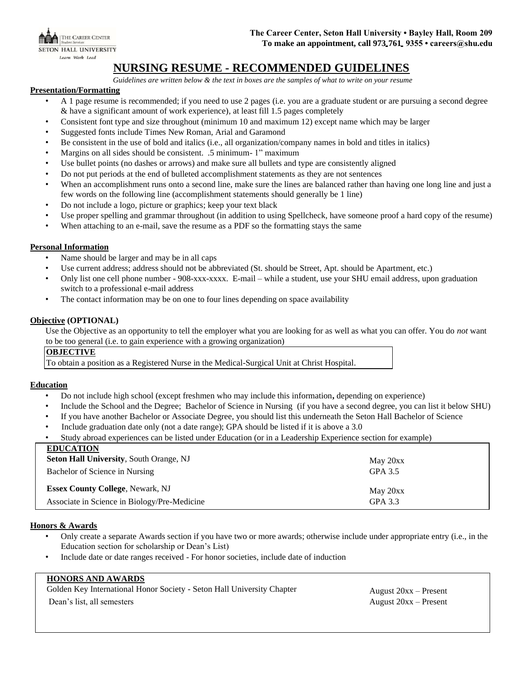THE CAREER CENTER **SETON HALL UNIVERSITY** Learn Work Lead

# **NURSING RESUME - RECOMMENDED GUIDELINES**

*Guidelines are written below & the text in boxes are the samples of what to write on your resume*

#### **Presentation/Formatting**

- A 1 page resume is recommended; if you need to use 2 pages (i.e. you are a graduate student or are pursuing a second degree & have a significant amount of work experience), at least fill 1.5 pages completely
- Consistent font type and size throughout (minimum 10 and maximum 12) except name which may be larger
- Suggested fonts include Times New Roman, Arial and Garamond
- Be consistent in the use of bold and italics (i.e., all organization/company names in bold and titles in italics)
- Margins on all sides should be consistent. .5 minimum- 1" maximum
- Use bullet points (no dashes or arrows) and make sure all bullets and type are consistently aligned
- Do not put periods at the end of bulleted accomplishment statements as they are not sentences
- When an accomplishment runs onto a second line, make sure the lines are balanced rather than having one long line and just a few words on the following line (accomplishment statements should generally be 1 line)
- Do not include a logo, picture or graphics; keep your text black
- Use proper spelling and grammar throughout (in addition to using Spellcheck, have someone proof a hard copy of the resume)
- When attaching to an e-mail, save the resume as a PDF so the formatting stays the same

## **Personal Information**

- Name should be larger and may be in all caps
- Use current address; address should not be abbreviated (St. should be Street, Apt. should be Apartment, etc.)
- Only list one cell phone number 908-xxx-xxxx. E-mail while a student, use your SHU email address, upon graduation switch to a professional e-mail address
- The contact information may be on one to four lines depending on space availability

## **Objective (OPTIONAL)**

Use the Objective as an opportunity to tell the employer what you are looking for as well as what you can offer. You do *not* want to be too general (i.e. to gain experience with a growing organization)

## **OBJECTIVE**

To obtain a position as a Registered Nurse in the Medical-Surgical Unit at Christ Hospital.

## **Education**

- Do not include high school (except freshmen who may include this information**,** depending on experience)
- Include the School and the Degree; Bachelor of Science in Nursing (if you have a second degree, you can list it below SHU)
- If you have another Bachelor or Associate Degree, you should list this underneath the Seton Hall Bachelor of Science
- Include graduation date only (not a date range); GPA should be listed if it is above a 3.0
- Study abroad experiences can be listed under Education (or in a Leadership Experience section for example)

| <b>EDUCATION</b>                               |          |
|------------------------------------------------|----------|
| <b>Seton Hall University, South Orange, NJ</b> | May 20xx |
| Bachelor of Science in Nursing                 | GPA 3.5  |
| <b>Essex County College, Newark, NJ</b>        | May 20xx |
| Associate in Science in Biology/Pre-Medicine   | GPA 3.3  |

#### **Honors & Awards**

- Only create a separate Awards section if you have two or more awards; otherwise include under appropriate entry (i.e., in the Education section for scholarship or Dean's List)
- Include date or date ranges received For honor societies, include date of induction

# **HONORS AND AWARDS**

Golden Key International Honor Society - Seton Hall University Chapter August 20xx – Present

Dean's list, all semesters August 20xx – Present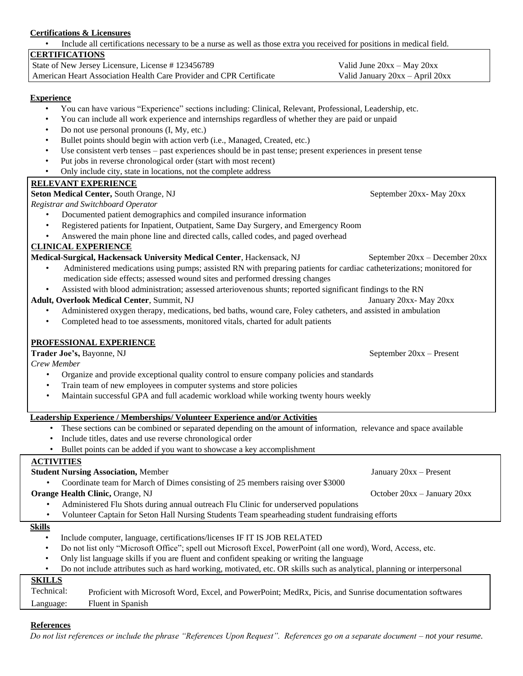# **Certifications & Licensures**

• Include all certifications necessary to be a nurse as well as those extra you received for positions in medical field.

# **CERTIFICATIONS**

| State of New Jersey Licensure, License #123456789                   | Valid June $20xx - May 20xx$    |
|---------------------------------------------------------------------|---------------------------------|
| American Heart Association Health Care Provider and CPR Certificate | Valid January 20xx - April 20xx |

# **Experience**

- You can have various "Experience" sections including: Clinical, Relevant, Professional, Leadership, etc.
- You can include all work experience and internships regardless of whether they are paid or unpaid
- Do not use personal pronouns (I, My, etc.)
- Bullet points should begin with action verb (i.e., Managed, Created, etc.)
- Use consistent verb tenses past experiences should be in past tense; present experiences in present tense
- Put jobs in reverse chronological order (start with most recent)
- Only include city, state in locations, not the complete address

# **RELEVANT EXPERIENCE**

**Seton Medical Center, South Orange, NJ** September 20xx- May 20xx

*Registrar and Switchboard Operator*

- Documented patient demographics and compiled insurance information
- Registered patients for Inpatient, Outpatient, Same Day Surgery, and Emergency Room
- Answered the main phone line and directed calls, called codes, and paged overhead

# **CLINICAL EXPERIENCE**

# **Medical-Surgical, Hackensack University Medical Center**, Hackensack, NJ September 20xx – December 20xx

- Administered medications using pumps; assisted RN with preparing patients for cardiac catheterizations; monitored for medication side effects; assessed wound sites and performed dressing changes
- Assisted with blood administration; assessed arteriovenous shunts; reported significant findings to the RN

#### **Adult, Overlook Medical Center**, Summit, NJ January 20xx- May 20xx- May 20xx-

- Administered oxygen therapy, medications, bed baths, wound care, Foley catheters, and assisted in ambulation
- Completed head to toe assessments, monitored vitals, charted for adult patients

# **PROFESSIONAL EXPERIENCE**

## **Trader Joe's, Bayonne, NJ** September 20xx – Present

*Crew Member* 

- Organize and provide exceptional quality control to ensure company policies and standards
- Train team of new employees in computer systems and store policies
- Maintain successful GPA and full academic workload while working twenty hours weekly

# **Leadership Experience / Memberships/ Volunteer Experience and/or Activities**

- These sections can be combined or separated depending on the amount of information, relevance and space available
- Include titles, dates and use reverse chronological order
- Bullet points can be added if you want to showcase a key accomplishment

## **ACTIVITIES**

- Coordinate team for March of Dimes consisting of 25 members raising over \$3000 **Orange Health Clinic, Orange, NJ October 20xx** – January 20xx
- - Administered Flu Shots during annual outreach Flu Clinic for underserved populations
	- Volunteer Captain for Seton Hall Nursing Students Team spearheading student fundraising efforts

# **Skills**

- Include computer, language, certifications/licenses IF IT IS JOB RELATED
- Do not list only "Microsoft Office"; spell out Microsoft Excel, PowerPoint (all one word), Word, Access, etc.
- Only list language skills if you are fluent and confident speaking or writing the language
- Do not include attributes such as hard working, motivated, etc. OR skills such as analytical, planning or interpersonal

# **SKILLS**

Technical: Proficient with Microsoft Word, Excel, and PowerPoint; MedRx, Picis, and Sunrise documentation softwares Language: Fluent in Spanish

## **References**

*Do not list references or include the phrase "References Upon Request". References go on a separate document – not your resume.* 

**Student Nursing Association,** Member January 20xx – Present